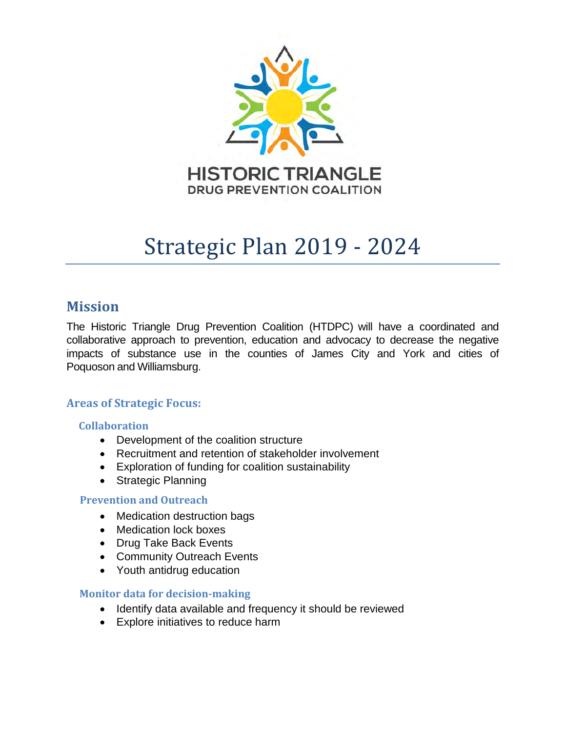

# Strategic Plan 2019 - 2024

### **Mission**

The Historic Triangle Drug Prevention Coalition (HTDPC) will have a coordinated and collaborative approach to prevention, education and advocacy to decrease the negative impacts of substance use in the counties of James City and York and cities of Poquoson and Williamsburg.

#### **Areas of Strategic Focus:**

#### **Collaboration**

- Development of the coalition structure
- Recruitment and retention of stakeholder involvement
- Exploration of funding for coalition sustainability
- Strategic Planning

#### **Prevention and Outreach**

- Medication destruction bags
- Medication lock boxes
- Drug Take Back Events
- Community Outreach Events
- Youth antidrug education

#### **Monitor data for decision-making**

- Identify data available and frequency it should be reviewed
- Explore initiatives to reduce harm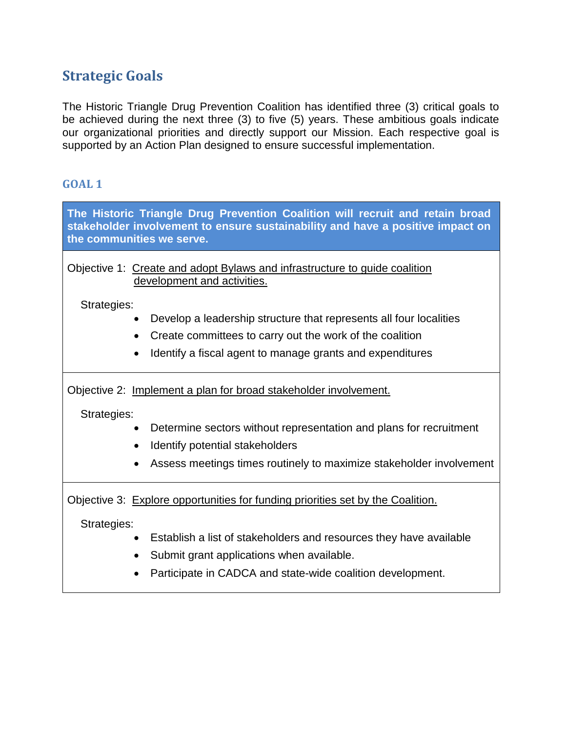## **Strategic Goals**

The Historic Triangle Drug Prevention Coalition has identified three (3) critical goals to be achieved during the next three (3) to five (5) years. These ambitious goals indicate our organizational priorities and directly support our Mission. Each respective goal is supported by an Action Plan designed to ensure successful implementation.

#### **GOAL 1**

| The Historic Triangle Drug Prevention Coalition will recruit and retain broad<br>stakeholder involvement to ensure sustainability and have a positive impact on<br>the communities we serve.                                                                                    |  |  |
|---------------------------------------------------------------------------------------------------------------------------------------------------------------------------------------------------------------------------------------------------------------------------------|--|--|
| Objective 1: Create and adopt Bylaws and infrastructure to quide coalition<br>development and activities.                                                                                                                                                                       |  |  |
| Strategies:<br>Develop a leadership structure that represents all four localities<br>Create committees to carry out the work of the coalition<br>Identify a fiscal agent to manage grants and expenditures                                                                      |  |  |
| Objective 2: Implement a plan for broad stakeholder involvement.<br>Strategies:<br>Determine sectors without representation and plans for recruitment<br>Identify potential stakeholders<br>Assess meetings times routinely to maximize stakeholder involvement                 |  |  |
| Objective 3: Explore opportunities for funding priorities set by the Coalition.<br>Strategies:<br>Establish a list of stakeholders and resources they have available<br>Submit grant applications when available.<br>Participate in CADCA and state-wide coalition development. |  |  |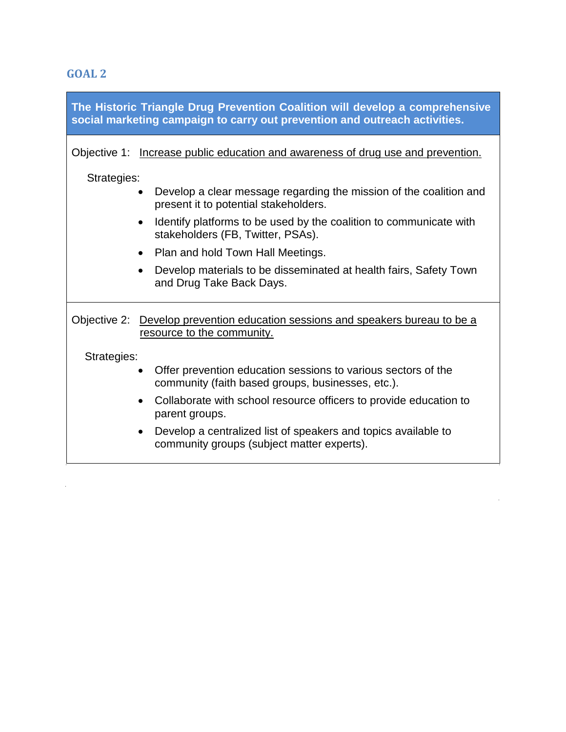**GOAL 2**

 $\mathcal{L}^{\text{max}}_{\text{max}}$  , where  $\mathcal{L}^{\text{max}}_{\text{max}}$ 

|             | The Historic Triangle Drug Prevention Coalition will develop a comprehensive<br>social marketing campaign to carry out prevention and outreach activities. |
|-------------|------------------------------------------------------------------------------------------------------------------------------------------------------------|
|             | Objective 1: Increase public education and awareness of drug use and prevention.                                                                           |
| Strategies: |                                                                                                                                                            |
|             | Develop a clear message regarding the mission of the coalition and<br>present it to potential stakeholders.                                                |
|             | Identify platforms to be used by the coalition to communicate with<br>$\bullet$<br>stakeholders (FB, Twitter, PSAs).                                       |
|             | Plan and hold Town Hall Meetings.<br>$\bullet$                                                                                                             |
|             | Develop materials to be disseminated at health fairs, Safety Town<br>$\bullet$<br>and Drug Take Back Days.                                                 |
|             | Objective 2: Develop prevention education sessions and speakers bureau to be a<br>resource to the community.                                               |
| Strategies: |                                                                                                                                                            |
|             | Offer prevention education sessions to various sectors of the<br>$\bullet$<br>community (faith based groups, businesses, etc.).                            |
|             | Collaborate with school resource officers to provide education to<br>$\bullet$<br>parent groups.                                                           |
|             | Develop a centralized list of speakers and topics available to<br>community groups (subject matter experts).                                               |

 $\label{eq:2.1} \frac{1}{2} \sum_{i=1}^n \frac{1}{2} \sum_{j=1}^n \frac{1}{2} \sum_{j=1}^n \frac{1}{2} \sum_{j=1}^n \frac{1}{2} \sum_{j=1}^n \frac{1}{2} \sum_{j=1}^n \frac{1}{2} \sum_{j=1}^n \frac{1}{2} \sum_{j=1}^n \frac{1}{2} \sum_{j=1}^n \frac{1}{2} \sum_{j=1}^n \frac{1}{2} \sum_{j=1}^n \frac{1}{2} \sum_{j=1}^n \frac{1}{2} \sum_{j=1}^n \frac{$